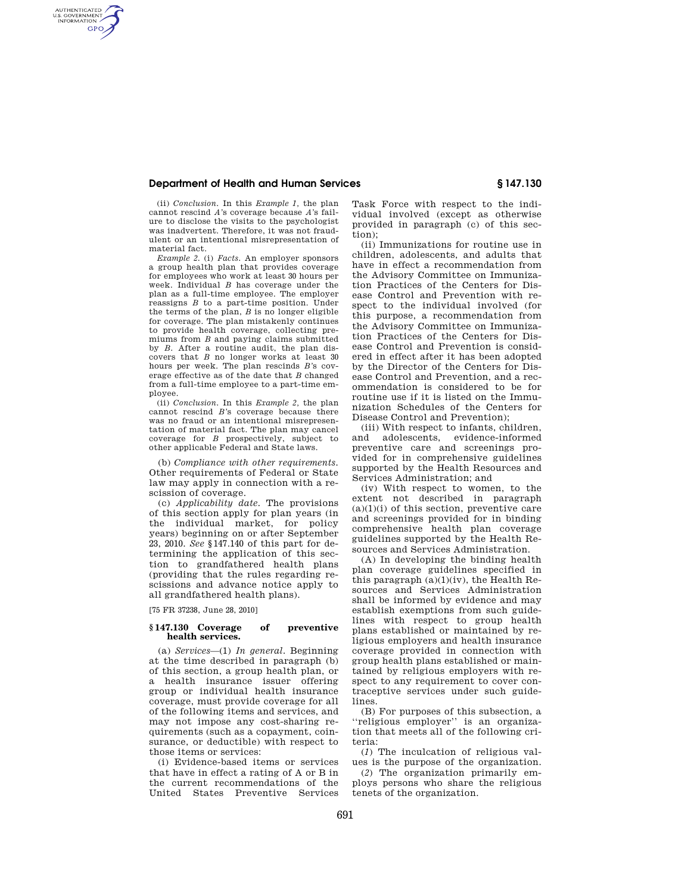# **Department of Health and Human Services § 147.130**

AUTHENTICATED<br>U.S. GOVERNMENT<br>INFORMATION **GPO** 

> (ii) *Conclusion.* In this *Example 1,* the plan cannot rescind *A'*s coverage because *A'*s failure to disclose the visits to the psychologist was inadvertent. Therefore, it was not fraudulent or an intentional misrepresentation of material fact.

> *Example 2.* (i) *Facts.* An employer sponsors a group health plan that provides coverage for employees who work at least 30 hours per week. Individual *B* has coverage under the plan as a full-time employee. The employer reassigns *B* to a part-time position. Under the terms of the plan, *B* is no longer eligible for coverage. The plan mistakenly continues to provide health coverage, collecting premiums from *B* and paying claims submitted by *B.* After a routine audit, the plan discovers that *B* no longer works at least 30 hours per week. The plan rescinds *B'*s coverage effective as of the date that *B* changed from a full-time employee to a part-time employee.

> (ii) *Conclusion.* In this *Example 2,* the plan cannot rescind *B'*s coverage because there was no fraud or an intentional misrepresentation of material fact. The plan may cancel coverage for *B* prospectively, subject to other applicable Federal and State laws.

> (b) *Compliance with other requirements.*  Other requirements of Federal or State law may apply in connection with a rescission of coverage.

> (c) *Applicability date.* The provisions of this section apply for plan years (in the individual market, for policy years) beginning on or after September 23, 2010. *See* §147.140 of this part for determining the application of this section to grandfathered health plans (providing that the rules regarding rescissions and advance notice apply to all grandfathered health plans).

[75 FR 37238, June 28, 2010]

### **§ 147.130 Coverage of preventive health services.**

(a) *Services*—(1) *In general.* Beginning at the time described in paragraph (b) of this section, a group health plan, or a health insurance issuer offering group or individual health insurance coverage, must provide coverage for all of the following items and services, and may not impose any cost-sharing requirements (such as a copayment, coinsurance, or deductible) with respect to those items or services:

(i) Evidence-based items or services that have in effect a rating of A or B in the current recommendations of the United States Preventive Services Task Force with respect to the individual involved (except as otherwise provided in paragraph (c) of this section);

(ii) Immunizations for routine use in children, adolescents, and adults that have in effect a recommendation from the Advisory Committee on Immunization Practices of the Centers for Disease Control and Prevention with respect to the individual involved (for this purpose, a recommendation from the Advisory Committee on Immunization Practices of the Centers for Disease Control and Prevention is considered in effect after it has been adopted by the Director of the Centers for Disease Control and Prevention, and a recommendation is considered to be for routine use if it is listed on the Immunization Schedules of the Centers for Disease Control and Prevention);

(iii) With respect to infants, children, and adolescents, evidence-informed preventive care and screenings provided for in comprehensive guidelines supported by the Health Resources and Services Administration; and

(iv) With respect to women, to the extent not described in paragraph  $(a)(1)(i)$  of this section, preventive care and screenings provided for in binding comprehensive health plan coverage guidelines supported by the Health Resources and Services Administration.

(A) In developing the binding health plan coverage guidelines specified in this paragraph  $(a)(1)(iv)$ , the Health Resources and Services Administration shall be informed by evidence and may establish exemptions from such guidelines with respect to group health plans established or maintained by religious employers and health insurance coverage provided in connection with group health plans established or maintained by religious employers with respect to any requirement to cover contraceptive services under such guidelines.

(B) For purposes of this subsection, a ''religious employer'' is an organization that meets all of the following criteria:

(*1*) The inculcation of religious values is the purpose of the organization.

(*2*) The organization primarily employs persons who share the religious tenets of the organization.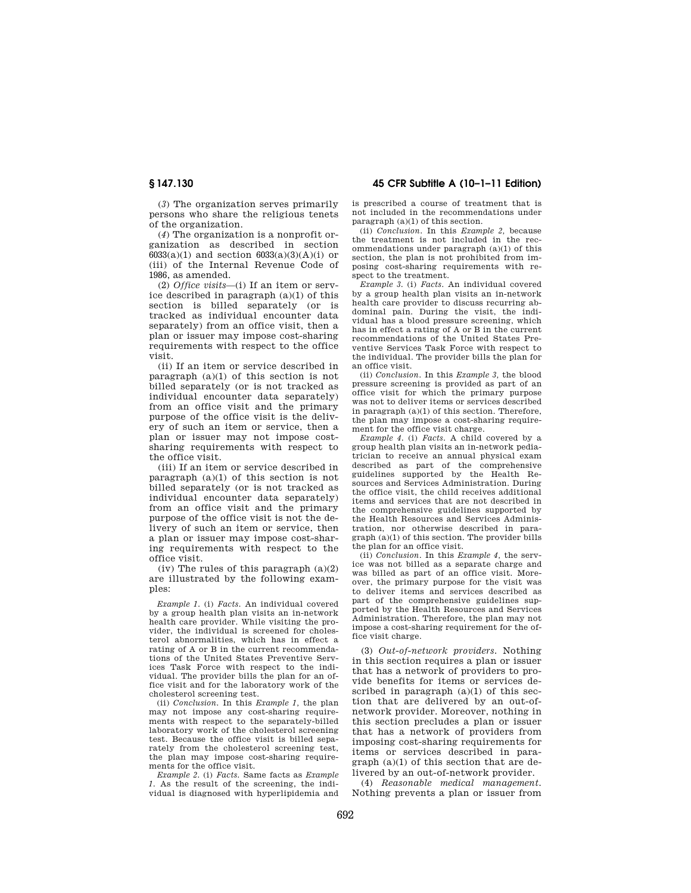(*3*) The organization serves primarily persons who share the religious tenets of the organization.

(*4*) The organization is a nonprofit organization as described in section 6033(a)(1) and section  $6033(a)(3)(A)(i)$  or (iii) of the Internal Revenue Code of 1986, as amended.

(2) *Office visits*—(i) If an item or service described in paragraph (a)(1) of this section is billed separately (or is tracked as individual encounter data separately) from an office visit, then a plan or issuer may impose cost-sharing requirements with respect to the office visit.

(ii) If an item or service described in paragraph (a)(1) of this section is not billed separately (or is not tracked as individual encounter data separately) from an office visit and the primary purpose of the office visit is the delivery of such an item or service, then a plan or issuer may not impose costsharing requirements with respect to the office visit.

(iii) If an item or service described in paragraph (a)(1) of this section is not billed separately (or is not tracked as individual encounter data separately) from an office visit and the primary purpose of the office visit is not the delivery of such an item or service, then a plan or issuer may impose cost-sharing requirements with respect to the office visit.

(iv) The rules of this paragraph (a)(2) are illustrated by the following examples:

*Example 1.* (i) *Facts.* An individual covered by a group health plan visits an in-network health care provider. While visiting the provider, the individual is screened for cholesterol abnormalities, which has in effect a rating of A or B in the current recommendations of the United States Preventive Services Task Force with respect to the individual. The provider bills the plan for an office visit and for the laboratory work of the cholesterol screening test.

(ii) *Conclusion.* In this *Example 1,* the plan may not impose any cost-sharing requirements with respect to the separately-billed laboratory work of the cholesterol screening test. Because the office visit is billed separately from the cholesterol screening test, the plan may impose cost-sharing requirements for the office visit.

*Example 2.* (i) *Facts.* Same facts as *Example 1.* As the result of the screening, the individual is diagnosed with hyperlipidemia and

**§ 147.130 45 CFR Subtitle A (10–1–11 Edition)** 

is prescribed a course of treatment that is not included in the recommendations under paragraph (a)(1) of this section.

(ii) *Conclusion.* In this *Example 2,* because the treatment is not included in the recommendations under paragraph (a)(1) of this section, the plan is not prohibited from imposing cost-sharing requirements with respect to the treatment.

*Example 3.* (i) *Facts.* An individual covered by a group health plan visits an in-network health care provider to discuss recurring abdominal pain. During the visit, the individual has a blood pressure screening, which has in effect a rating of A or B in the current recommendations of the United States Preventive Services Task Force with respect to the individual. The provider bills the plan for an office visit.

(ii) *Conclusion.* In this *Example 3,* the blood pressure screening is provided as part of an office visit for which the primary purpose was not to deliver items or services described in paragraph (a)(1) of this section. Therefore, the plan may impose a cost-sharing requirement for the office visit charge.

*Example 4.* (i) *Facts.* A child covered by a group health plan visits an in-network pediatrician to receive an annual physical exam described as part of the comprehensive guidelines supported by the Health Resources and Services Administration. During the office visit, the child receives additional items and services that are not described in the comprehensive guidelines supported by the Health Resources and Services Administration, nor otherwise described in paragraph (a)(1) of this section. The provider bills the plan for an office visit.

(ii) *Conclusion.* In this *Example 4,* the service was not billed as a separate charge and was billed as part of an office visit. Moreover, the primary purpose for the visit was to deliver items and services described as part of the comprehensive guidelines supported by the Health Resources and Services Administration. Therefore, the plan may not impose a cost-sharing requirement for the office visit charge.

(3) *Out-of-network providers.* Nothing in this section requires a plan or issuer that has a network of providers to provide benefits for items or services described in paragraph  $(a)(1)$  of this section that are delivered by an out-ofnetwork provider. Moreover, nothing in this section precludes a plan or issuer that has a network of providers from imposing cost-sharing requirements for items or services described in paragraph (a)(1) of this section that are delivered by an out-of-network provider.

(4) *Reasonable medical management.*  Nothing prevents a plan or issuer from